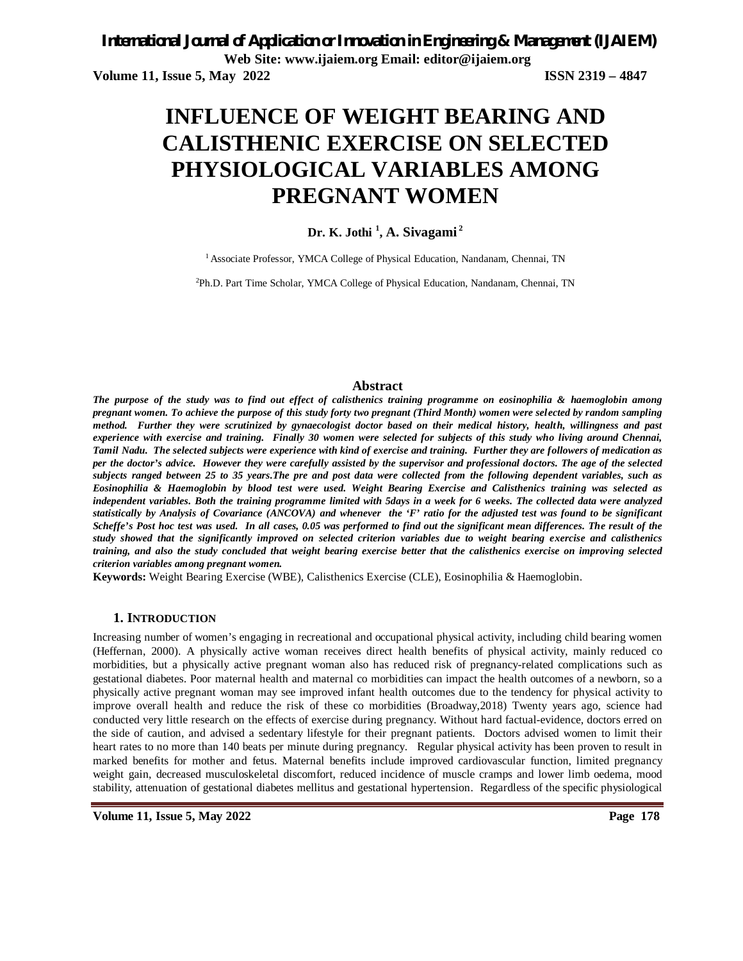# **INFLUENCE OF WEIGHT BEARING AND CALISTHENIC EXERCISE ON SELECTED PHYSIOLOGICAL VARIABLES AMONG PREGNANT WOMEN**

### **Dr. K. Jothi <sup>1</sup> , A. Sivagami <sup>2</sup>**

<sup>1</sup> Associate Professor, YMCA College of Physical Education, Nandanam, Chennai, TN

2Ph.D. Part Time Scholar, YMCA College of Physical Education, Nandanam, Chennai, TN

#### **Abstract**

*The purpose of the study was to find out effect of calisthenics training programme on eosinophilia & haemoglobin among pregnant women. To achieve the purpose of this study forty two pregnant (Third Month) women were selected by random sampling method. Further they were scrutinized by gynaecologist doctor based on their medical history, health, willingness and past experience with exercise and training. Finally 30 women were selected for subjects of this study who living around Chennai, Tamil Nadu. The selected subjects were experience with kind of exercise and training. Further they are followers of medication as per the doctor's advice. However they were carefully assisted by the supervisor and professional doctors. The age of the selected subjects ranged between 25 to 35 years.The pre and post data were collected from the following dependent variables, such as Eosinophilia & Haemoglobin by blood test were used. Weight Bearing Exercise and Calisthenics training was selected as independent variables. Both the training programme limited with 5days in a week for 6 weeks. The collected data were analyzed statistically by Analysis of Covariance (ANCOVA) and whenever the 'F' ratio for the adjusted test was found to be significant Scheffe's Post hoc test was used. In all cases, 0.05 was performed to find out the significant mean differences. The result of the study showed that the significantly improved on selected criterion variables due to weight bearing exercise and calisthenics training, and also the study concluded that weight bearing exercise better that the calisthenics exercise on improving selected criterion variables among pregnant women.*

**Keywords:** Weight Bearing Exercise (WBE), Calisthenics Exercise (CLE), Eosinophilia & Haemoglobin.

#### **1. INTRODUCTION**

Increasing number of women's engaging in recreational and occupational physical activity, including child bearing women (Heffernan, 2000). A physically active woman receives direct health benefits of physical activity, mainly reduced co morbidities, but a physically active pregnant woman also has reduced risk of pregnancy-related complications such as gestational diabetes. Poor maternal health and maternal co morbidities can impact the health outcomes of a newborn, so a physically active pregnant woman may see improved infant health outcomes due to the tendency for physical activity to improve overall health and reduce the risk of these co morbidities (Broadway,2018) Twenty years ago, science had conducted very little research on the effects of exercise during pregnancy. Without hard factual-evidence, doctors erred on the side of caution, and advised a sedentary lifestyle for their pregnant patients. Doctors advised women to limit their heart rates to no more than 140 beats per minute during pregnancy. Regular physical activity has been proven to result in marked benefits for mother and fetus. Maternal benefits include improved cardiovascular function, limited pregnancy weight gain, decreased musculoskeletal discomfort, reduced incidence of muscle cramps and lower limb oedema, mood stability, attenuation of gestational diabetes mellitus and gestational hypertension. Regardless of the specific physiological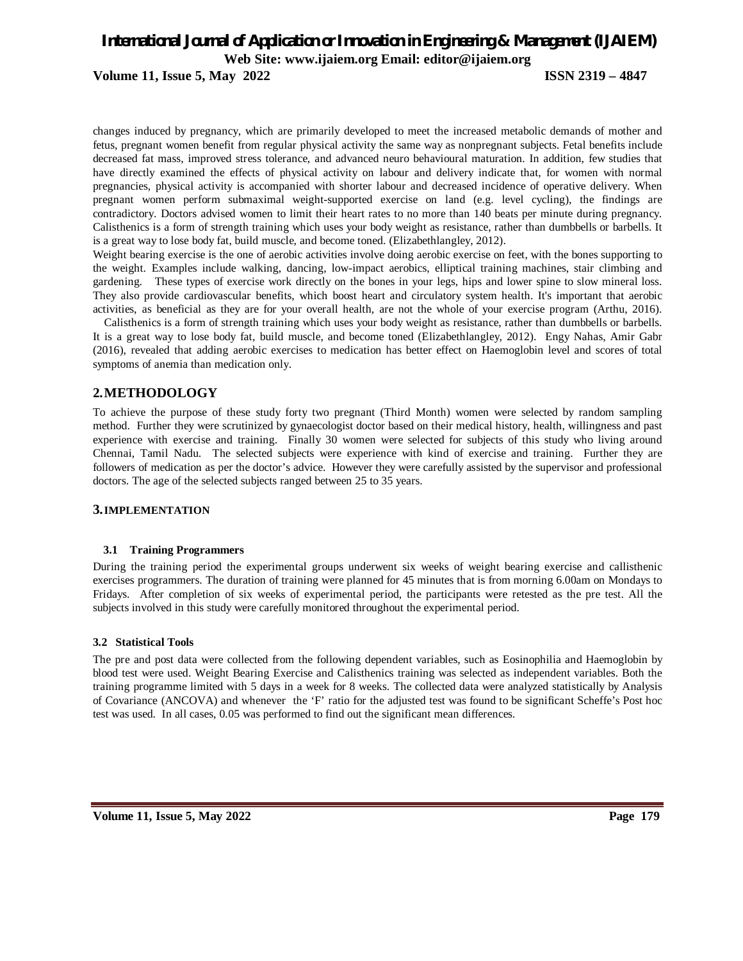**Volume 11, Issue 5, May 2022 ISSN 2319 – 4847**

changes induced by pregnancy, which are primarily developed to meet the increased metabolic demands of mother and fetus, pregnant women benefit from regular physical activity the same way as nonpregnant subjects. Fetal benefits include decreased fat mass, improved stress tolerance, and advanced neuro behavioural maturation. In addition, few studies that have directly examined the effects of physical activity on labour and delivery indicate that, for women with normal pregnancies, physical activity is accompanied with shorter labour and decreased incidence of operative delivery. When pregnant women perform submaximal weight-supported exercise on land (e.g. level cycling), the findings are contradictory. Doctors advised women to limit their heart rates to no more than 140 beats per minute during pregnancy. Calisthenics is a form of strength training which uses your body weight as resistance, rather than dumbbells or barbells. It is a great way to lose body fat, build muscle, and become toned. (Elizabethlangley, 2012).

Weight bearing exercise is the one of aerobic activities involve doing aerobic exercise on feet, with the bones supporting to the weight. Examples include walking, dancing, low-impact aerobics, elliptical training machines, stair climbing and gardening. These types of exercise work directly on the bones in your legs, hips and lower spine to slow mineral loss. They also provide cardiovascular benefits, which boost heart and circulatory system health. It's important that aerobic activities, as beneficial as they are for your overall health, are not the whole of your exercise program (Arthu, 2016).

Calisthenics is a form of strength training which uses your body weight as resistance, rather than dumbbells or barbells. It is a great way to lose body fat, build muscle, and become toned (Elizabethlangley, 2012). Engy Nahas, Amir Gabr (2016), revealed that adding aerobic exercises to medication has better effect on Haemoglobin level and scores of total symptoms of anemia than medication only.

#### **2.METHODOLOGY**

To achieve the purpose of these study forty two pregnant (Third Month) women were selected by random sampling method. Further they were scrutinized by gynaecologist doctor based on their medical history, health, willingness and past experience with exercise and training. Finally 30 women were selected for subjects of this study who living around Chennai, Tamil Nadu. The selected subjects were experience with kind of exercise and training. Further they are followers of medication as per the doctor's advice. However they were carefully assisted by the supervisor and professional doctors. The age of the selected subjects ranged between 25 to 35 years.

#### **3.IMPLEMENTATION**

#### **3.1 Training Programmers**

During the training period the experimental groups underwent six weeks of weight bearing exercise and callisthenic exercises programmers. The duration of training were planned for 45 minutes that is from morning 6.00am on Mondays to Fridays. After completion of six weeks of experimental period, the participants were retested as the pre test. All the subjects involved in this study were carefully monitored throughout the experimental period.

#### **3.2 Statistical Tools**

The pre and post data were collected from the following dependent variables, such as Eosinophilia and Haemoglobin by blood test were used. Weight Bearing Exercise and Calisthenics training was selected as independent variables. Both the training programme limited with 5 days in a week for 8 weeks. The collected data were analyzed statistically by Analysis of Covariance (ANCOVA) and whenever the 'F' ratio for the adjusted test was found to be significant Scheffe's Post hoc test was used. In all cases, 0.05 was performed to find out the significant mean differences.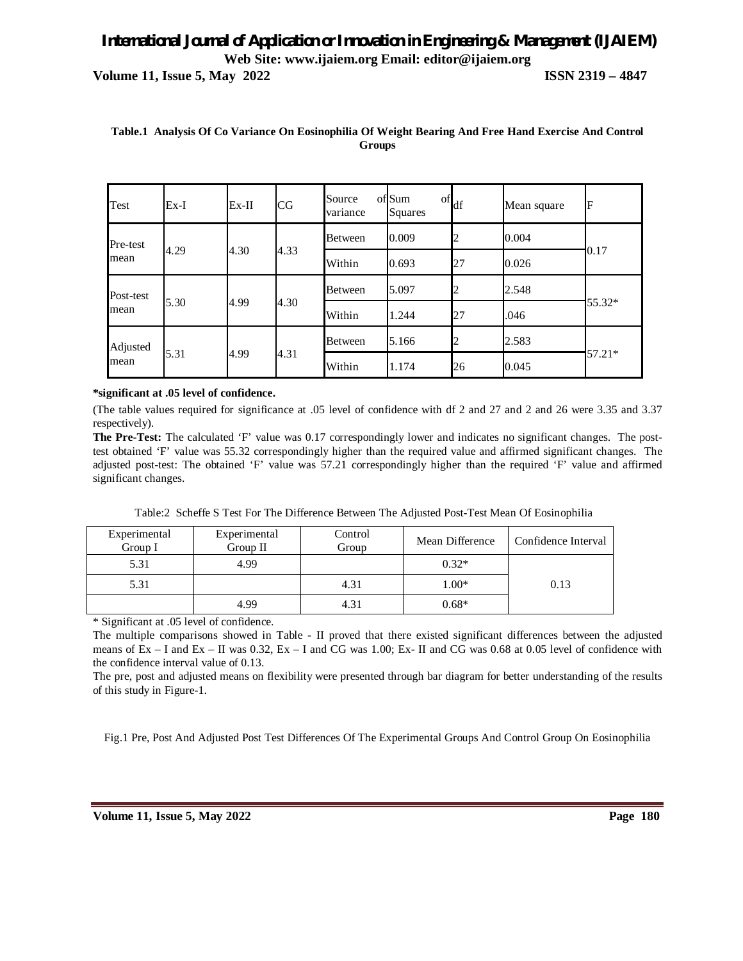**Volume 11, Issue 5, May 2022 ISSN 2319 – 4847**

| Test              | $Ex-I$ | $Ex-II$ | CG   | Source<br>variance | oflSum<br>Squares | $\mathrm{of}$ <sub>df</sub> | Mean square | F         |
|-------------------|--------|---------|------|--------------------|-------------------|-----------------------------|-------------|-----------|
| Pre-test<br>mean  | 4.29   | 4.30    | 4.33 | <b>Between</b>     | 0.009             | 12                          | 0.004       | 0.17      |
|                   |        |         |      | Within             | 0.693             | 27                          | 0.026       |           |
| Post-test<br>mean | 5.30   | 4.99    | 4.30 | <b>Between</b>     | 5.097             | 2                           | 2.548       | 55.32*    |
|                   |        |         |      | Within             | 1.244             | 27                          | .046        |           |
| Adjusted<br>mean  | 5.31   | 4.99    | 4.31 | <b>Between</b>     | 5.166             | 2                           | 2.583       | $157.21*$ |
|                   |        |         |      | Within             | 1.174             | 26                          | 0.045       |           |

#### **Table.1 Analysis Of Co Variance On Eosinophilia Of Weight Bearing And Free Hand Exercise And Control Groups**

#### **\*significant at .05 level of confidence.**

(The table values required for significance at .05 level of confidence with df 2 and 27 and 2 and 26 were 3.35 and 3.37 respectively).

**The Pre-Test:** The calculated 'F' value was 0.17 correspondingly lower and indicates no significant changes. The posttest obtained 'F' value was 55.32 correspondingly higher than the required value and affirmed significant changes. The adjusted post-test: The obtained 'F' value was 57.21 correspondingly higher than the required 'F' value and affirmed significant changes.

| Experimental<br>Group I | Experimental<br>Group II | Control<br>Group | Mean Difference | Confidence Interval |
|-------------------------|--------------------------|------------------|-----------------|---------------------|
| 5.31                    | 4.99                     |                  | $0.32*$         |                     |
| 5.31                    |                          | 4.31             | $1.00*$         | 0.13                |
|                         | 4.99                     | 4.31             | $0.68*$         |                     |

Table:2 Scheffe S Test For The Difference Between The Adjusted Post-Test Mean Of Eosinophilia

\* Significant at .05 level of confidence.

The multiple comparisons showed in Table - II proved that there existed significant differences between the adjusted means of  $Ex - I$  and  $Ex - II$  was 0.32,  $Ex - I$  and  $CG$  was 1.00;  $Ex - II$  and  $CG$  was 0.68 at 0.05 level of confidence with the confidence interval value of 0.13.

The pre, post and adjusted means on flexibility were presented through bar diagram for better understanding of the results of this study in Figure-1.

Fig.1 Pre, Post And Adjusted Post Test Differences Of The Experimental Groups And Control Group On Eosinophilia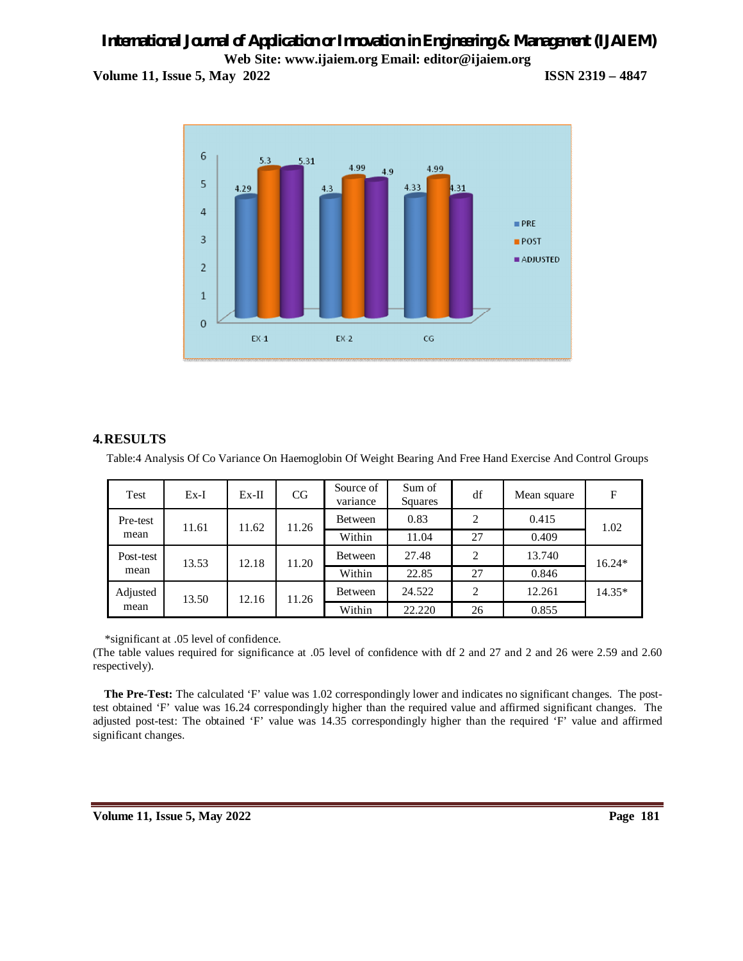**Volume 11, Issue 5, May 2022 ISSN 2319 – 4847**



#### **4.RESULTS**

Table:4 Analysis Of Co Variance On Haemoglobin Of Weight Bearing And Free Hand Exercise And Control Groups

| Test              | $Ex-I$ | $Ex-II$ | CG    | Source of<br>variance | Sum of<br>Squares | df             | Mean square | F      |
|-------------------|--------|---------|-------|-----------------------|-------------------|----------------|-------------|--------|
| Pre-test<br>mean  | 11.61  | 11.62   | 11.26 | Between               | 0.83              | 2              | 0.415       | 1.02   |
|                   |        |         |       | Within                | 11.04             | 27             | 0.409       |        |
| Post-test<br>mean | 13.53  | 12.18   | 11.20 | Between               | 27.48             | $\overline{2}$ | 13.740      | 16.24* |
|                   |        |         |       | Within                | 22.85             | 27             | 0.846       |        |
| Adjusted<br>mean  | 13.50  | 12.16   | 11.26 | Between               | 24.522            | 2              | 12.261      | 14.35* |
|                   |        |         |       | Within                | 22.220            | 26             | 0.855       |        |

\*significant at .05 level of confidence.

(The table values required for significance at .05 level of confidence with df 2 and 27 and 2 and 26 were 2.59 and 2.60 respectively).

**The Pre-Test:** The calculated 'F' value was 1.02 correspondingly lower and indicates no significant changes. The posttest obtained 'F' value was 16.24 correspondingly higher than the required value and affirmed significant changes. The adjusted post-test: The obtained 'F' value was 14.35 correspondingly higher than the required 'F' value and affirmed significant changes.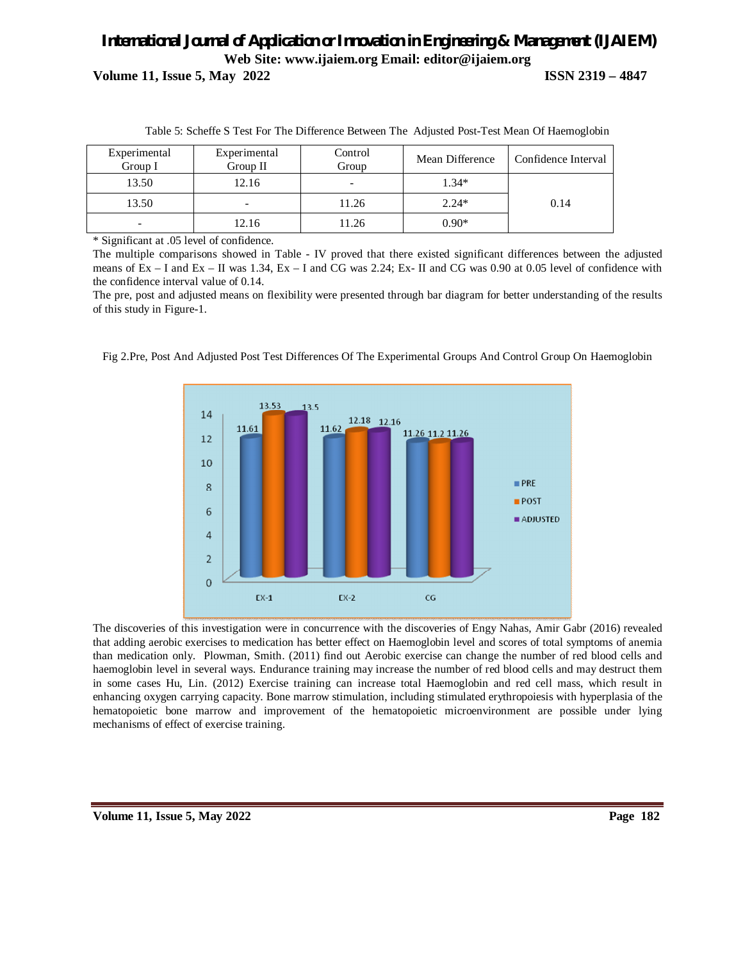# *International Journal of Application or Innovation in Engineering & Management (IJAIEM)* **Web Site: www.ijaiem.org Email: editor@ijaiem.org Volume 11, Issue 5, May 2022 ISSN 2319 – 4847**

Experimental Group I Experimental Group II Control Group Mean Difference Confidence Interval 13.50 12.16 - 1.34\* 13.50 | - 11.26 | 2.24\* | 0.14 - 12.16 11.26 0.90\*

Table 5: Scheffe S Test For The Difference Between The Adjusted Post-Test Mean Of Haemoglobin

\* Significant at .05 level of confidence.

The multiple comparisons showed in Table - IV proved that there existed significant differences between the adjusted means of  $Ex - I$  and  $Ex - II$  was 1.34,  $Ex - I$  and  $CG$  was 2.24;  $Ex - II$  and  $CG$  was 0.90 at 0.05 level of confidence with the confidence interval value of 0.14.

The pre, post and adjusted means on flexibility were presented through bar diagram for better understanding of the results of this study in Figure-1.



Fig 2.Pre, Post And Adjusted Post Test Differences Of The Experimental Groups And Control Group On Haemoglobin

The discoveries of this investigation were in concurrence with the discoveries of Engy Nahas, Amir Gabr (2016) revealed that adding aerobic exercises to medication has better effect on Haemoglobin level and scores of total symptoms of anemia than medication only. Plowman, Smith. (2011) find out Aerobic exercise can change the number of red blood cells and haemoglobin level in several ways. Endurance training may increase the number of red blood cells and may destruct them in some cases Hu, Lin. (2012) Exercise training can increase total Haemoglobin and red cell mass, which result in enhancing oxygen carrying capacity. Bone marrow stimulation, including stimulated erythropoiesis with hyperplasia of the hematopoietic bone marrow and improvement of the hematopoietic microenvironment are possible under lying mechanisms of effect of exercise training.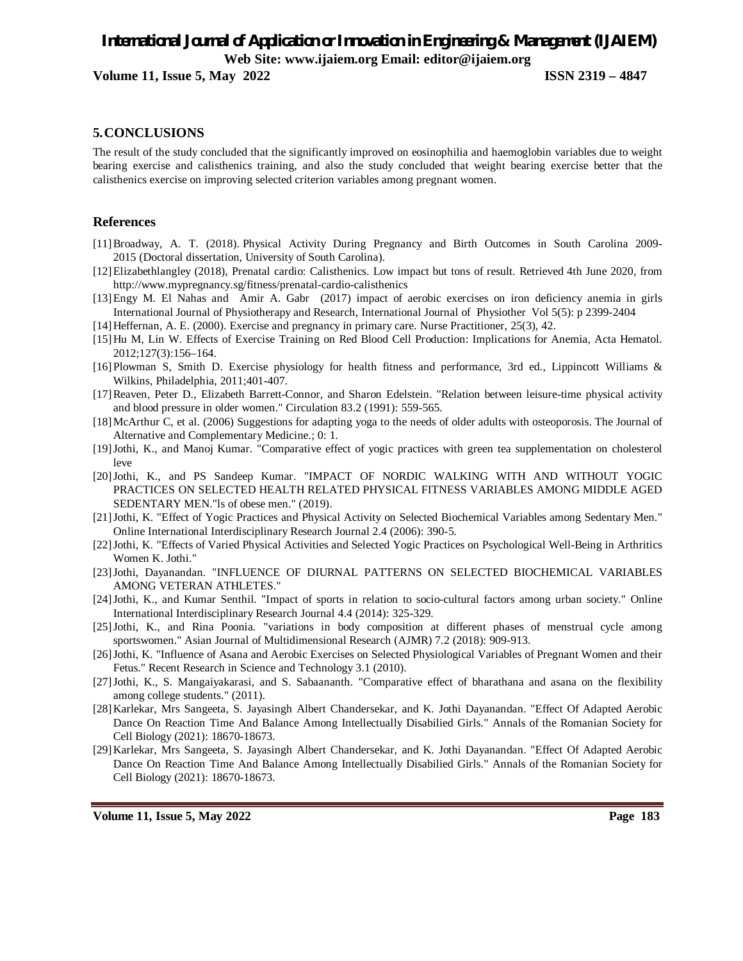**Volume 11, Issue 5, May 2022 ISSN 2319 – 4847**

#### **5.CONCLUSIONS**

The result of the study concluded that the significantly improved on eosinophilia and haemoglobin variables due to weight bearing exercise and calisthenics training, and also the study concluded that weight bearing exercise better that the calisthenics exercise on improving selected criterion variables among pregnant women.

#### **References**

- [11]Broadway, A. T. (2018). Physical Activity During Pregnancy and Birth Outcomes in South Carolina 2009- 2015 (Doctoral dissertation, University of South Carolina).
- [12]Elizabethlangley (2018), Prenatal cardio: Calisthenics. Low impact but tons of result. Retrieved 4th June 2020, from http://www.mypregnancy.sg/fitness/prenatal-cardio-calisthenics
- [13]Engy M. El Nahas and Amir A. Gabr (2017) impact of aerobic exercises on iron deficiency anemia in girls International Journal of Physiotherapy and Research, International Journal of Physiother Vol 5(5): p 2399-2404
- [14]Heffernan, A. E. (2000). Exercise and pregnancy in primary care. Nurse Practitioner, 25(3), 42.
- [15]Hu M, Lin W. Effects of Exercise Training on Red Blood Cell Production: Implications for Anemia, Acta Hematol. 2012;127(3):156–164.
- [16]Plowman S, Smith D. Exercise physiology for health fitness and performance, 3rd ed., Lippincott Williams & Wilkins, Philadelphia, 2011;401-407.
- [17]Reaven, Peter D., Elizabeth Barrett-Connor, and Sharon Edelstein. "Relation between leisure-time physical activity and blood pressure in older women." Circulation 83.2 (1991): 559-565.
- [18]McArthur C, et al. (2006) Suggestions for adapting yoga to the needs of older adults with osteoporosis. The Journal of Alternative and Complementary Medicine.; 0: 1.
- [19]Jothi, K., and Manoj Kumar. "Comparative effect of yogic practices with green tea supplementation on cholesterol leve
- [20]Jothi, K., and PS Sandeep Kumar. "IMPACT OF NORDIC WALKING WITH AND WITHOUT YOGIC PRACTICES ON SELECTED HEALTH RELATED PHYSICAL FITNESS VARIABLES AMONG MIDDLE AGED SEDENTARY MEN."ls of obese men." (2019).
- [21]Jothi, K. "Effect of Yogic Practices and Physical Activity on Selected Biochemical Variables among Sedentary Men." Online International Interdisciplinary Research Journal 2.4 (2006): 390-5.
- [22]Jothi, K. "Effects of Varied Physical Activities and Selected Yogic Practices on Psychological Well-Being in Arthritics Women K. Jothi."
- [23]Jothi, Dayanandan. "INFLUENCE OF DIURNAL PATTERNS ON SELECTED BIOCHEMICAL VARIABLES AMONG VETERAN ATHLETES."
- [24]Jothi, K., and Kumar Senthil. "Impact of sports in relation to socio-cultural factors among urban society." Online International Interdisciplinary Research Journal 4.4 (2014): 325-329.
- [25]Jothi, K., and Rina Poonia. "variations in body composition at different phases of menstrual cycle among sportswomen." Asian Journal of Multidimensional Research (AJMR) 7.2 (2018): 909-913.
- [26]Jothi, K. "Influence of Asana and Aerobic Exercises on Selected Physiological Variables of Pregnant Women and their Fetus." Recent Research in Science and Technology 3.1 (2010).
- [27]Jothi, K., S. Mangaiyakarasi, and S. Sabaananth. "Comparative effect of bharathana and asana on the flexibility among college students." (2011).
- [28]Karlekar, Mrs Sangeeta, S. Jayasingh Albert Chandersekar, and K. Jothi Dayanandan. "Effect Of Adapted Aerobic Dance On Reaction Time And Balance Among Intellectually Disabilied Girls." Annals of the Romanian Society for Cell Biology (2021): 18670-18673.
- [29]Karlekar, Mrs Sangeeta, S. Jayasingh Albert Chandersekar, and K. Jothi Dayanandan. "Effect Of Adapted Aerobic Dance On Reaction Time And Balance Among Intellectually Disabilied Girls." Annals of the Romanian Society for Cell Biology (2021): 18670-18673.

**Volume 11, Issue 5, May 2022 Page 183**